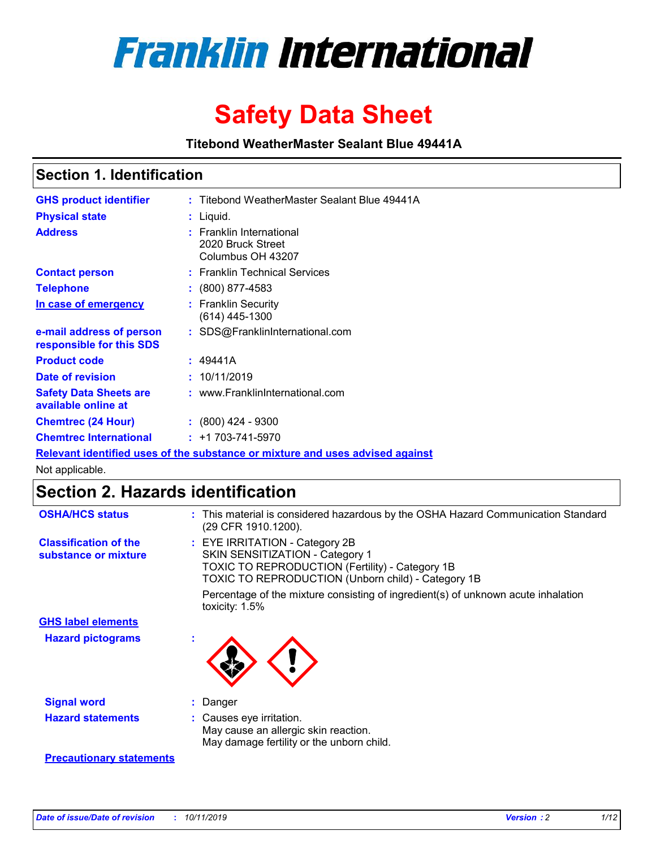

# **Safety Data Sheet**

**Titebond WeatherMaster Sealant Blue 49441A**

### **Section 1. Identification**

| <b>GHS product identifier</b>                        | : Titebond WeatherMaster Sealant Blue 49441A                                  |
|------------------------------------------------------|-------------------------------------------------------------------------------|
| <b>Physical state</b>                                | : Liquid.                                                                     |
| <b>Address</b>                                       | : Franklin International<br>2020 Bruck Street<br>Columbus OH 43207            |
| <b>Contact person</b>                                | : Franklin Technical Services                                                 |
| <b>Telephone</b>                                     | $\div$ (800) 877-4583                                                         |
| In case of emergency                                 | : Franklin Security<br>(614) 445-1300                                         |
| e-mail address of person<br>responsible for this SDS | : SDS@FranklinInternational.com                                               |
| <b>Product code</b>                                  | : 49441A                                                                      |
| Date of revision                                     | : 10/11/2019                                                                  |
| <b>Safety Data Sheets are</b><br>available online at | : www.FranklinInternational.com                                               |
| <b>Chemtrec (24 Hour)</b>                            | $\div$ (800) 424 - 9300                                                       |
| <b>Chemtrec International</b>                        | $: +1703 - 741 - 5970$                                                        |
|                                                      | Relevant identified uses of the substance or mixture and uses advised against |

Not applicable.

## **Section 2. Hazards identification**

| <b>OSHA/HCS status</b>                               | : This material is considered hazardous by the OSHA Hazard Communication Standard<br>(29 CFR 1910.1200).                                                                                 |
|------------------------------------------------------|------------------------------------------------------------------------------------------------------------------------------------------------------------------------------------------|
| <b>Classification of the</b><br>substance or mixture | : EYE IRRITATION - Category 2B<br>SKIN SENSITIZATION - Category 1<br><b>TOXIC TO REPRODUCTION (Fertility) - Category 1B</b><br><b>TOXIC TO REPRODUCTION (Unborn child) - Category 1B</b> |
|                                                      | Percentage of the mixture consisting of ingredient(s) of unknown acute inhalation<br>toxicity: $1.5\%$                                                                                   |
| <b>GHS label elements</b>                            |                                                                                                                                                                                          |
| <b>Hazard pictograms</b>                             |                                                                                                                                                                                          |
| <b>Signal word</b>                                   | : Danger                                                                                                                                                                                 |
| <b>Hazard statements</b>                             | : Causes eye irritation.<br>May cause an allergic skin reaction.<br>May damage fertility or the unborn child.                                                                            |
| <b>Precautionary statements</b>                      |                                                                                                                                                                                          |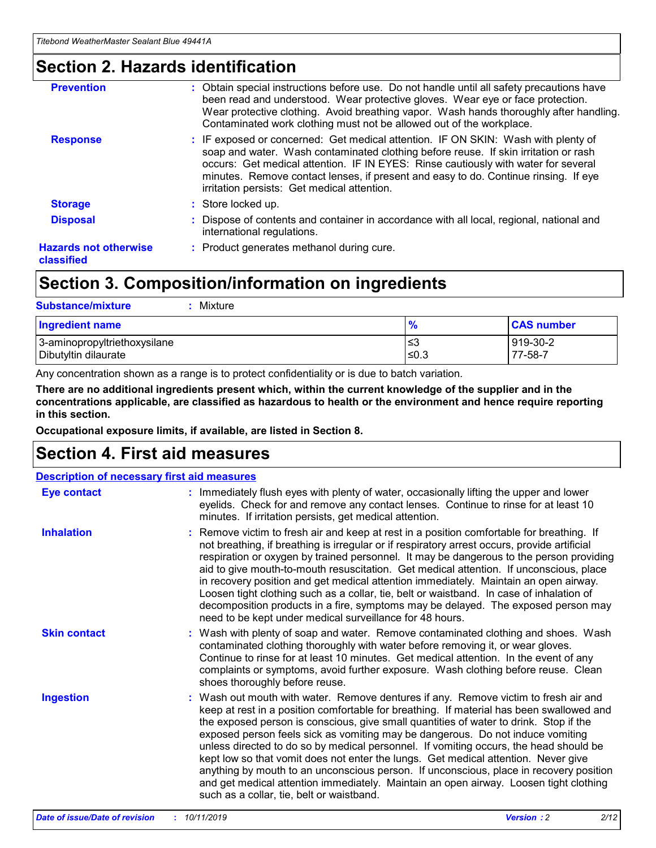### **Section 2. Hazards identification**

| <b>Prevention</b>                          | : Obtain special instructions before use. Do not handle until all safety precautions have<br>been read and understood. Wear protective gloves. Wear eye or face protection.<br>Wear protective clothing. Avoid breathing vapor. Wash hands thoroughly after handling.<br>Contaminated work clothing must not be allowed out of the workplace.                                                        |
|--------------------------------------------|------------------------------------------------------------------------------------------------------------------------------------------------------------------------------------------------------------------------------------------------------------------------------------------------------------------------------------------------------------------------------------------------------|
| <b>Response</b>                            | : IF exposed or concerned: Get medical attention. IF ON SKIN: Wash with plenty of<br>soap and water. Wash contaminated clothing before reuse. If skin irritation or rash<br>occurs: Get medical attention. IF IN EYES: Rinse cautiously with water for several<br>minutes. Remove contact lenses, if present and easy to do. Continue rinsing. If eye<br>irritation persists: Get medical attention. |
| <b>Storage</b>                             | : Store locked up.                                                                                                                                                                                                                                                                                                                                                                                   |
| <b>Disposal</b>                            | : Dispose of contents and container in accordance with all local, regional, national and<br>international regulations.                                                                                                                                                                                                                                                                               |
| <b>Hazards not otherwise</b><br>classified | : Product generates methanol during cure.                                                                                                                                                                                                                                                                                                                                                            |
|                                            |                                                                                                                                                                                                                                                                                                                                                                                                      |

### **Section 3. Composition/information on ingredients**

| <b>Substance/mixture</b><br>Mixture                  |               |                     |
|------------------------------------------------------|---------------|---------------------|
| <b>Ingredient name</b>                               | $\frac{9}{6}$ | <b>CAS number</b>   |
| 3-aminopropyltriethoxysilane<br>Dibutyltin dilaurate | ≤3<br>$≤0.3$  | 919-30-2<br>77-58-7 |

Any concentration shown as a range is to protect confidentiality or is due to batch variation.

**There are no additional ingredients present which, within the current knowledge of the supplier and in the concentrations applicable, are classified as hazardous to health or the environment and hence require reporting in this section.**

**Occupational exposure limits, if available, are listed in Section 8.**

### **Section 4. First aid measures**

| <b>Description of necessary first aid measures</b> |                                                                                                                                                                                                                                                                                                                                                                                                                                                                                                                                                                                                                                                                                                                                                                           |  |  |  |
|----------------------------------------------------|---------------------------------------------------------------------------------------------------------------------------------------------------------------------------------------------------------------------------------------------------------------------------------------------------------------------------------------------------------------------------------------------------------------------------------------------------------------------------------------------------------------------------------------------------------------------------------------------------------------------------------------------------------------------------------------------------------------------------------------------------------------------------|--|--|--|
| <b>Eye contact</b>                                 | : Immediately flush eyes with plenty of water, occasionally lifting the upper and lower<br>eyelids. Check for and remove any contact lenses. Continue to rinse for at least 10<br>minutes. If irritation persists, get medical attention.                                                                                                                                                                                                                                                                                                                                                                                                                                                                                                                                 |  |  |  |
| <b>Inhalation</b>                                  | : Remove victim to fresh air and keep at rest in a position comfortable for breathing. If<br>not breathing, if breathing is irregular or if respiratory arrest occurs, provide artificial<br>respiration or oxygen by trained personnel. It may be dangerous to the person providing<br>aid to give mouth-to-mouth resuscitation. Get medical attention. If unconscious, place<br>in recovery position and get medical attention immediately. Maintain an open airway.<br>Loosen tight clothing such as a collar, tie, belt or waistband. In case of inhalation of<br>decomposition products in a fire, symptoms may be delayed. The exposed person may<br>need to be kept under medical surveillance for 48 hours.                                                       |  |  |  |
| <b>Skin contact</b>                                | : Wash with plenty of soap and water. Remove contaminated clothing and shoes. Wash<br>contaminated clothing thoroughly with water before removing it, or wear gloves.<br>Continue to rinse for at least 10 minutes. Get medical attention. In the event of any<br>complaints or symptoms, avoid further exposure. Wash clothing before reuse. Clean<br>shoes thoroughly before reuse.                                                                                                                                                                                                                                                                                                                                                                                     |  |  |  |
| <b>Ingestion</b>                                   | : Wash out mouth with water. Remove dentures if any. Remove victim to fresh air and<br>keep at rest in a position comfortable for breathing. If material has been swallowed and<br>the exposed person is conscious, give small quantities of water to drink. Stop if the<br>exposed person feels sick as vomiting may be dangerous. Do not induce vomiting<br>unless directed to do so by medical personnel. If vomiting occurs, the head should be<br>kept low so that vomit does not enter the lungs. Get medical attention. Never give<br>anything by mouth to an unconscious person. If unconscious, place in recovery position<br>and get medical attention immediately. Maintain an open airway. Loosen tight clothing<br>such as a collar, tie, belt or waistband. |  |  |  |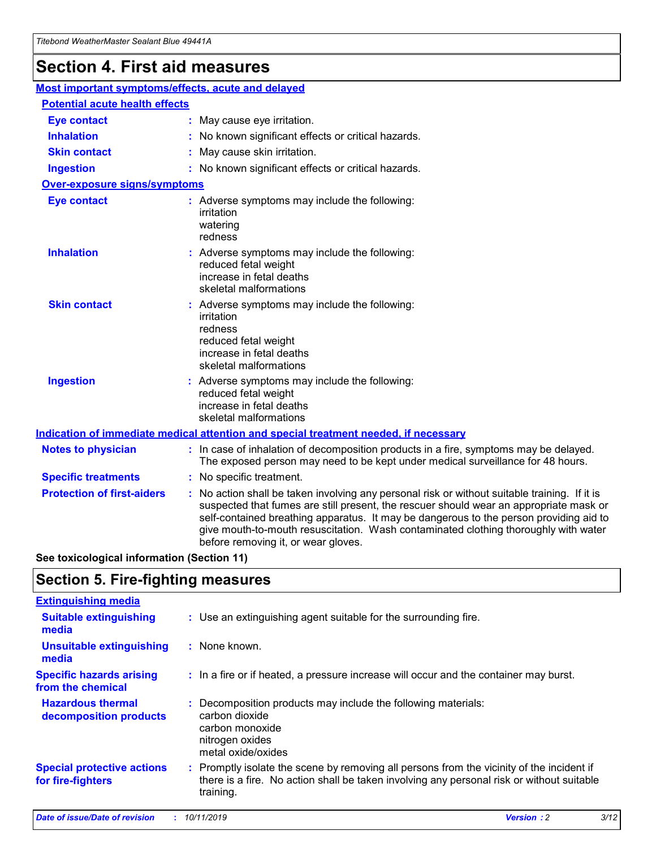## **Section 4. First aid measures**

| Most important symptoms/effects, acute and delayed                                          |                                                                                                                             |                                                                                                                                                                                                                                                                                                                                                                                                                 |  |  |
|---------------------------------------------------------------------------------------------|-----------------------------------------------------------------------------------------------------------------------------|-----------------------------------------------------------------------------------------------------------------------------------------------------------------------------------------------------------------------------------------------------------------------------------------------------------------------------------------------------------------------------------------------------------------|--|--|
| <b>Potential acute health effects</b>                                                       |                                                                                                                             |                                                                                                                                                                                                                                                                                                                                                                                                                 |  |  |
| <b>Eye contact</b>                                                                          |                                                                                                                             | : May cause eye irritation.                                                                                                                                                                                                                                                                                                                                                                                     |  |  |
| <b>Inhalation</b>                                                                           |                                                                                                                             | : No known significant effects or critical hazards.                                                                                                                                                                                                                                                                                                                                                             |  |  |
| <b>Skin contact</b>                                                                         |                                                                                                                             | : May cause skin irritation.                                                                                                                                                                                                                                                                                                                                                                                    |  |  |
| <b>Ingestion</b>                                                                            |                                                                                                                             | : No known significant effects or critical hazards.                                                                                                                                                                                                                                                                                                                                                             |  |  |
| <b>Over-exposure signs/symptoms</b>                                                         |                                                                                                                             |                                                                                                                                                                                                                                                                                                                                                                                                                 |  |  |
| <b>Eye contact</b>                                                                          |                                                                                                                             | : Adverse symptoms may include the following:<br>irritation<br>watering<br>redness                                                                                                                                                                                                                                                                                                                              |  |  |
| <b>Inhalation</b>                                                                           |                                                                                                                             | : Adverse symptoms may include the following:<br>reduced fetal weight<br>increase in fetal deaths<br>skeletal malformations                                                                                                                                                                                                                                                                                     |  |  |
| <b>Skin contact</b>                                                                         |                                                                                                                             | : Adverse symptoms may include the following:<br>irritation<br>redness<br>reduced fetal weight<br>increase in fetal deaths<br>skeletal malformations                                                                                                                                                                                                                                                            |  |  |
| <b>Ingestion</b>                                                                            | : Adverse symptoms may include the following:<br>reduced fetal weight<br>increase in fetal deaths<br>skeletal malformations |                                                                                                                                                                                                                                                                                                                                                                                                                 |  |  |
| <b>Indication of immediate medical attention and special treatment needed, if necessary</b> |                                                                                                                             |                                                                                                                                                                                                                                                                                                                                                                                                                 |  |  |
| <b>Notes to physician</b>                                                                   |                                                                                                                             | : In case of inhalation of decomposition products in a fire, symptoms may be delayed.<br>The exposed person may need to be kept under medical surveillance for 48 hours.                                                                                                                                                                                                                                        |  |  |
| <b>Specific treatments</b>                                                                  |                                                                                                                             | : No specific treatment.                                                                                                                                                                                                                                                                                                                                                                                        |  |  |
| <b>Protection of first-aiders</b>                                                           |                                                                                                                             | : No action shall be taken involving any personal risk or without suitable training. If it is<br>suspected that fumes are still present, the rescuer should wear an appropriate mask or<br>self-contained breathing apparatus. It may be dangerous to the person providing aid to<br>give mouth-to-mouth resuscitation. Wash contaminated clothing thoroughly with water<br>before removing it, or wear gloves. |  |  |

**See toxicological information (Section 11)**

### **Section 5. Fire-fighting measures**

| <b>Extinguishing media</b>                             |                                                                                                                                                                                                     |
|--------------------------------------------------------|-----------------------------------------------------------------------------------------------------------------------------------------------------------------------------------------------------|
| <b>Suitable extinguishing</b><br>media                 | : Use an extinguishing agent suitable for the surrounding fire.                                                                                                                                     |
| <b>Unsuitable extinguishing</b><br>media               | $:$ None known.                                                                                                                                                                                     |
| <b>Specific hazards arising</b><br>from the chemical   | : In a fire or if heated, a pressure increase will occur and the container may burst.                                                                                                               |
| <b>Hazardous thermal</b><br>decomposition products     | : Decomposition products may include the following materials:<br>carbon dioxide<br>carbon monoxide<br>nitrogen oxides<br>metal oxide/oxides                                                         |
| <b>Special protective actions</b><br>for fire-fighters | : Promptly isolate the scene by removing all persons from the vicinity of the incident if<br>there is a fire. No action shall be taken involving any personal risk or without suitable<br>training. |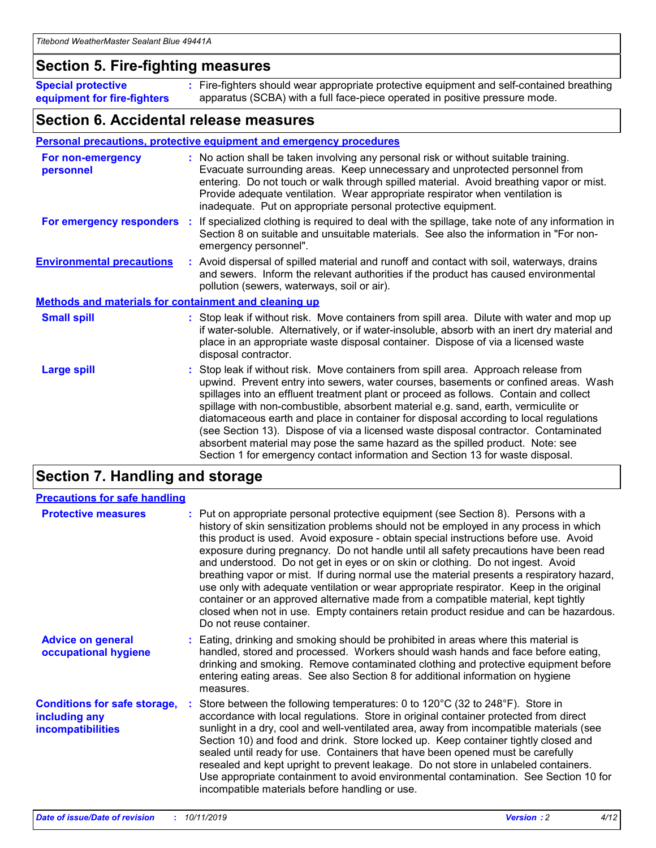### **Section 5. Fire-fighting measures**

**Special protective equipment for fire-fighters** Fire-fighters should wear appropriate protective equipment and self-contained breathing **:** apparatus (SCBA) with a full face-piece operated in positive pressure mode.

### **Section 6. Accidental release measures**

#### **Personal precautions, protective equipment and emergency procedures**

| For non-emergency<br>personnel                               | : No action shall be taken involving any personal risk or without suitable training.<br>Evacuate surrounding areas. Keep unnecessary and unprotected personnel from<br>entering. Do not touch or walk through spilled material. Avoid breathing vapor or mist.<br>Provide adequate ventilation. Wear appropriate respirator when ventilation is<br>inadequate. Put on appropriate personal protective equipment.                                                                                                                                                                                                                                                                                             |
|--------------------------------------------------------------|--------------------------------------------------------------------------------------------------------------------------------------------------------------------------------------------------------------------------------------------------------------------------------------------------------------------------------------------------------------------------------------------------------------------------------------------------------------------------------------------------------------------------------------------------------------------------------------------------------------------------------------------------------------------------------------------------------------|
|                                                              | For emergency responders : If specialized clothing is required to deal with the spillage, take note of any information in<br>Section 8 on suitable and unsuitable materials. See also the information in "For non-<br>emergency personnel".                                                                                                                                                                                                                                                                                                                                                                                                                                                                  |
| <b>Environmental precautions</b>                             | : Avoid dispersal of spilled material and runoff and contact with soil, waterways, drains<br>and sewers. Inform the relevant authorities if the product has caused environmental<br>pollution (sewers, waterways, soil or air).                                                                                                                                                                                                                                                                                                                                                                                                                                                                              |
| <b>Methods and materials for containment and cleaning up</b> |                                                                                                                                                                                                                                                                                                                                                                                                                                                                                                                                                                                                                                                                                                              |
| <b>Small spill</b>                                           | : Stop leak if without risk. Move containers from spill area. Dilute with water and mop up<br>if water-soluble. Alternatively, or if water-insoluble, absorb with an inert dry material and<br>place in an appropriate waste disposal container. Dispose of via a licensed waste<br>disposal contractor.                                                                                                                                                                                                                                                                                                                                                                                                     |
| <b>Large spill</b>                                           | : Stop leak if without risk. Move containers from spill area. Approach release from<br>upwind. Prevent entry into sewers, water courses, basements or confined areas. Wash<br>spillages into an effluent treatment plant or proceed as follows. Contain and collect<br>spillage with non-combustible, absorbent material e.g. sand, earth, vermiculite or<br>diatomaceous earth and place in container for disposal according to local regulations<br>(see Section 13). Dispose of via a licensed waste disposal contractor. Contaminated<br>absorbent material may pose the same hazard as the spilled product. Note: see<br>Section 1 for emergency contact information and Section 13 for waste disposal. |

### **Section 7. Handling and storage**

| <b>Precautions for safe handling</b>                                             |                                                                                                                                                                                                                                                                                                                                                                                                                                                                                                                                                                                                                                                                                                                                                                                                                                                  |
|----------------------------------------------------------------------------------|--------------------------------------------------------------------------------------------------------------------------------------------------------------------------------------------------------------------------------------------------------------------------------------------------------------------------------------------------------------------------------------------------------------------------------------------------------------------------------------------------------------------------------------------------------------------------------------------------------------------------------------------------------------------------------------------------------------------------------------------------------------------------------------------------------------------------------------------------|
| <b>Protective measures</b>                                                       | : Put on appropriate personal protective equipment (see Section 8). Persons with a<br>history of skin sensitization problems should not be employed in any process in which<br>this product is used. Avoid exposure - obtain special instructions before use. Avoid<br>exposure during pregnancy. Do not handle until all safety precautions have been read<br>and understood. Do not get in eyes or on skin or clothing. Do not ingest. Avoid<br>breathing vapor or mist. If during normal use the material presents a respiratory hazard,<br>use only with adequate ventilation or wear appropriate respirator. Keep in the original<br>container or an approved alternative made from a compatible material, kept tightly<br>closed when not in use. Empty containers retain product residue and can be hazardous.<br>Do not reuse container. |
| <b>Advice on general</b><br>occupational hygiene                                 | : Eating, drinking and smoking should be prohibited in areas where this material is<br>handled, stored and processed. Workers should wash hands and face before eating,<br>drinking and smoking. Remove contaminated clothing and protective equipment before<br>entering eating areas. See also Section 8 for additional information on hygiene<br>measures.                                                                                                                                                                                                                                                                                                                                                                                                                                                                                    |
| <b>Conditions for safe storage,</b><br>including any<br><b>incompatibilities</b> | Store between the following temperatures: 0 to 120 $\degree$ C (32 to 248 $\degree$ F). Store in<br>accordance with local regulations. Store in original container protected from direct<br>sunlight in a dry, cool and well-ventilated area, away from incompatible materials (see<br>Section 10) and food and drink. Store locked up. Keep container tightly closed and<br>sealed until ready for use. Containers that have been opened must be carefully<br>resealed and kept upright to prevent leakage. Do not store in unlabeled containers.<br>Use appropriate containment to avoid environmental contamination. See Section 10 for<br>incompatible materials before handling or use.                                                                                                                                                     |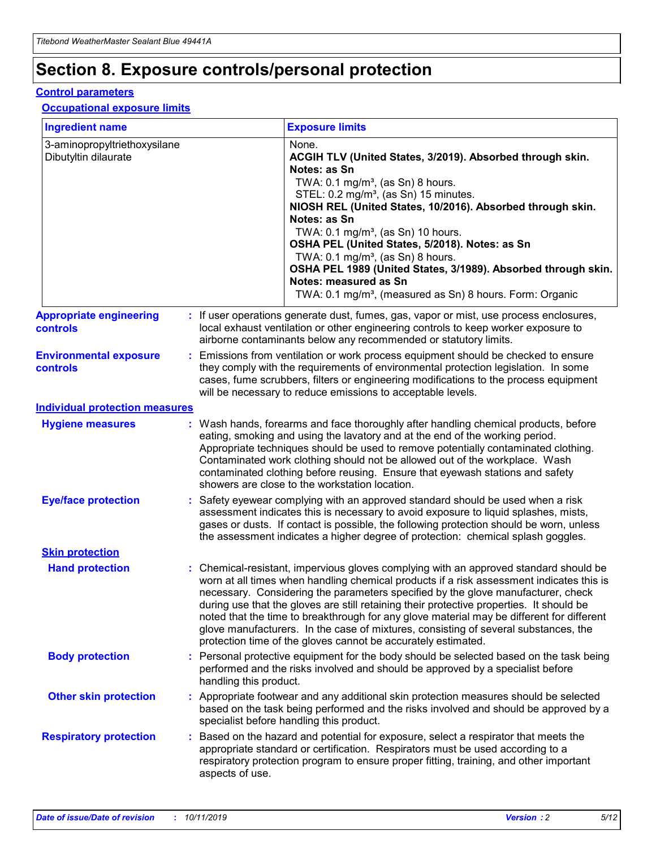## **Section 8. Exposure controls/personal protection**

#### **Control parameters**

#### **Occupational exposure limits**

| <b>Ingredient name</b>                               |    |                        | <b>Exposure limits</b>                                                                                                                                                                                                                                                                                                                                                                                                                                                                                                                                                                                                 |
|------------------------------------------------------|----|------------------------|------------------------------------------------------------------------------------------------------------------------------------------------------------------------------------------------------------------------------------------------------------------------------------------------------------------------------------------------------------------------------------------------------------------------------------------------------------------------------------------------------------------------------------------------------------------------------------------------------------------------|
| 3-aminopropyltriethoxysilane<br>Dibutyltin dilaurate |    |                        | None.<br>ACGIH TLV (United States, 3/2019). Absorbed through skin.<br>Notes: as Sn<br>TWA: $0.1 \text{ mg/m}^3$ , (as Sn) 8 hours.<br>STEL: 0.2 mg/m <sup>3</sup> , (as Sn) 15 minutes.<br>NIOSH REL (United States, 10/2016). Absorbed through skin.<br>Notes: as Sn<br>TWA: 0.1 mg/m <sup>3</sup> , (as Sn) 10 hours.<br>OSHA PEL (United States, 5/2018). Notes: as Sn<br>TWA: $0.1 \text{ mg/m}^3$ , (as Sn) 8 hours.<br>OSHA PEL 1989 (United States, 3/1989). Absorbed through skin.<br>Notes: measured as Sn<br>TWA: 0.1 mg/m <sup>3</sup> , (measured as Sn) 8 hours. Form: Organic                            |
| <b>Appropriate engineering</b><br>controls           |    |                        | : If user operations generate dust, fumes, gas, vapor or mist, use process enclosures,<br>local exhaust ventilation or other engineering controls to keep worker exposure to<br>airborne contaminants below any recommended or statutory limits.                                                                                                                                                                                                                                                                                                                                                                       |
| <b>Environmental exposure</b><br>controls            |    |                        | Emissions from ventilation or work process equipment should be checked to ensure<br>they comply with the requirements of environmental protection legislation. In some<br>cases, fume scrubbers, filters or engineering modifications to the process equipment<br>will be necessary to reduce emissions to acceptable levels.                                                                                                                                                                                                                                                                                          |
| <b>Individual protection measures</b>                |    |                        |                                                                                                                                                                                                                                                                                                                                                                                                                                                                                                                                                                                                                        |
| <b>Hygiene measures</b>                              |    |                        | : Wash hands, forearms and face thoroughly after handling chemical products, before<br>eating, smoking and using the lavatory and at the end of the working period.<br>Appropriate techniques should be used to remove potentially contaminated clothing.<br>Contaminated work clothing should not be allowed out of the workplace. Wash<br>contaminated clothing before reusing. Ensure that eyewash stations and safety<br>showers are close to the workstation location.                                                                                                                                            |
| <b>Eye/face protection</b>                           |    |                        | : Safety eyewear complying with an approved standard should be used when a risk<br>assessment indicates this is necessary to avoid exposure to liquid splashes, mists,<br>gases or dusts. If contact is possible, the following protection should be worn, unless<br>the assessment indicates a higher degree of protection: chemical splash goggles.                                                                                                                                                                                                                                                                  |
| <b>Skin protection</b>                               |    |                        |                                                                                                                                                                                                                                                                                                                                                                                                                                                                                                                                                                                                                        |
| <b>Hand protection</b>                               |    |                        | : Chemical-resistant, impervious gloves complying with an approved standard should be<br>worn at all times when handling chemical products if a risk assessment indicates this is<br>necessary. Considering the parameters specified by the glove manufacturer, check<br>during use that the gloves are still retaining their protective properties. It should be<br>noted that the time to breakthrough for any glove material may be different for different<br>glove manufacturers. In the case of mixtures, consisting of several substances, the<br>protection time of the gloves cannot be accurately estimated. |
| <b>Body protection</b>                               |    | handling this product. | Personal protective equipment for the body should be selected based on the task being<br>performed and the risks involved and should be approved by a specialist before                                                                                                                                                                                                                                                                                                                                                                                                                                                |
| <b>Other skin protection</b>                         |    |                        | : Appropriate footwear and any additional skin protection measures should be selected<br>based on the task being performed and the risks involved and should be approved by a<br>specialist before handling this product.                                                                                                                                                                                                                                                                                                                                                                                              |
| <b>Respiratory protection</b>                        | ÷. | aspects of use.        | Based on the hazard and potential for exposure, select a respirator that meets the<br>appropriate standard or certification. Respirators must be used according to a<br>respiratory protection program to ensure proper fitting, training, and other important                                                                                                                                                                                                                                                                                                                                                         |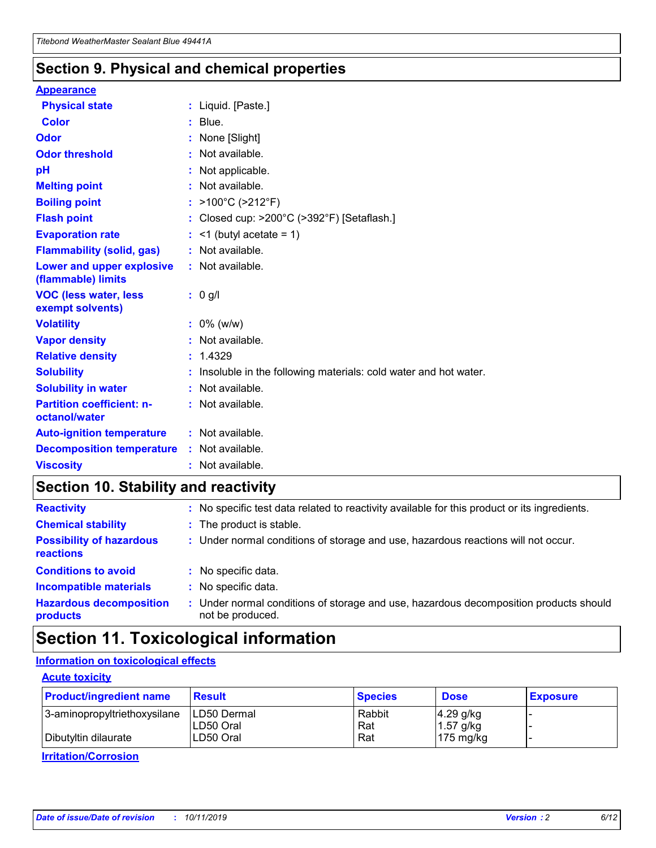### **Section 9. Physical and chemical properties**

#### **Appearance**

| <b>Physical state</b>                             | : Liquid. [Paste.]                                              |
|---------------------------------------------------|-----------------------------------------------------------------|
| Color                                             | $:$ Blue.                                                       |
| Odor                                              | : None [Slight]                                                 |
| <b>Odor threshold</b>                             | $:$ Not available.                                              |
| рH                                                | : Not applicable.                                               |
| <b>Melting point</b>                              | : Not available.                                                |
| <b>Boiling point</b>                              | : >100°C (>212°F)                                               |
| <b>Flash point</b>                                | : Closed cup: >200°C (>392°F) [Setaflash.]                      |
| <b>Evaporation rate</b>                           | $:$ <1 (butyl acetate = 1)                                      |
| <b>Flammability (solid, gas)</b>                  | : Not available.                                                |
| Lower and upper explosive<br>(flammable) limits   | $:$ Not available.                                              |
| <b>VOC (less water, less</b><br>exempt solvents)  | : 0 g/l                                                         |
| <b>Volatility</b>                                 | $: 0\%$ (w/w)                                                   |
| <b>Vapor density</b>                              | : Not available.                                                |
| <b>Relative density</b>                           | : 1.4329                                                        |
| <b>Solubility</b>                                 | Insoluble in the following materials: cold water and hot water. |
| <b>Solubility in water</b>                        | : Not available.                                                |
| <b>Partition coefficient: n-</b><br>octanol/water | $:$ Not available.                                              |
| <b>Auto-ignition temperature</b>                  | : Not available.                                                |
|                                                   |                                                                 |
| <b>Decomposition temperature</b>                  | : Not available.                                                |

### **Section 10. Stability and reactivity**

| <b>Reactivity</b>                            |    | : No specific test data related to reactivity available for this product or its ingredients.            |
|----------------------------------------------|----|---------------------------------------------------------------------------------------------------------|
| <b>Chemical stability</b>                    |    | : The product is stable.                                                                                |
| <b>Possibility of hazardous</b><br>reactions |    | : Under normal conditions of storage and use, hazardous reactions will not occur.                       |
| <b>Conditions to avoid</b>                   |    | : No specific data.                                                                                     |
| <b>Incompatible materials</b>                | ٠. | No specific data.                                                                                       |
| <b>Hazardous decomposition</b><br>products   | ÷. | Under normal conditions of storage and use, hazardous decomposition products should<br>not be produced. |

### **Section 11. Toxicological information**

### **Information on toxicological effects**

#### **Acute toxicity**

| <b>Product/ingredient name</b> | <b>Result</b>           | <b>Species</b> | <b>Dose</b>                | <b>Exposure</b> |
|--------------------------------|-------------------------|----------------|----------------------------|-----------------|
| 3-aminopropyltriethoxysilane   | <b>ILD50 Dermal</b>     | Rabbit         | 4.29 g/kg                  |                 |
| Dibutyltin dilaurate           | ILD50 Oral<br>LD50 Oral | Rat<br>Rat     | $1.57$ g/kg<br>175 $mg/kg$ |                 |
|                                |                         |                |                            |                 |

**Irritation/Corrosion**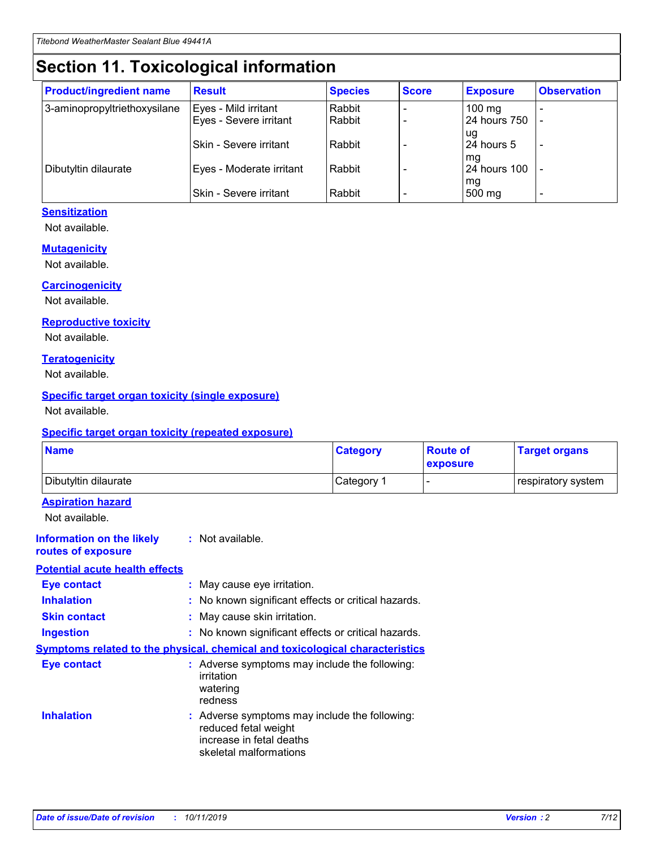## **Section 11. Toxicological information**

| <b>Product/ingredient name</b> | <b>Result</b>            | <b>Species</b> | <b>Score</b> | <b>Exposure</b>           | <b>Observation</b> |
|--------------------------------|--------------------------|----------------|--------------|---------------------------|--------------------|
| 3-aminopropyltriethoxysilane   | Eyes - Mild irritant     | Rabbit         |              | $100$ mg                  |                    |
|                                | Eyes - Severe irritant   | Rabbit         |              | 24 hours 750              |                    |
|                                |                          |                |              | ug                        |                    |
|                                | Skin - Severe irritant   | Rabbit         |              | 24 hours 5                | -                  |
| Dibutyltin dilaurate           | Eyes - Moderate irritant | Rabbit         |              | mq<br><b>24 hours 100</b> |                    |
|                                |                          |                |              | mg                        |                    |
|                                | Skin - Severe irritant   | Rabbit         |              | 500 mg                    |                    |

### **Sensitization**

Not available.

#### **Mutagenicity**

Not available.

#### **Carcinogenicity**

Not available.

#### **Reproductive toxicity**

Not available.

#### **Teratogenicity**

Not available.

#### **Specific target organ toxicity (single exposure)**

Not available.

#### **Specific target organ toxicity (repeated exposure)**

| <b>Name</b>                                                                  |                                                                            | <b>Category</b>                                     | <b>Route of</b><br>exposure | <b>Target organs</b> |
|------------------------------------------------------------------------------|----------------------------------------------------------------------------|-----------------------------------------------------|-----------------------------|----------------------|
| Dibutyltin dilaurate                                                         |                                                                            | Category 1                                          | -                           | respiratory system   |
| <b>Aspiration hazard</b><br>Not available.                                   |                                                                            |                                                     |                             |                      |
| <b>Information on the likely</b><br>routes of exposure                       | : Not available.                                                           |                                                     |                             |                      |
| <b>Potential acute health effects</b>                                        |                                                                            |                                                     |                             |                      |
| <b>Eye contact</b>                                                           | : May cause eye irritation.                                                |                                                     |                             |                      |
| <b>Inhalation</b>                                                            |                                                                            | : No known significant effects or critical hazards. |                             |                      |
| <b>Skin contact</b>                                                          | : May cause skin irritation.                                               |                                                     |                             |                      |
| <b>Ingestion</b>                                                             |                                                                            | : No known significant effects or critical hazards. |                             |                      |
| Symptoms related to the physical, chemical and toxicological characteristics |                                                                            |                                                     |                             |                      |
| <b>Eye contact</b>                                                           | irritation<br>watering<br>redness                                          | : Adverse symptoms may include the following:       |                             |                      |
| <b>Inhalation</b>                                                            | reduced fetal weight<br>increase in fetal deaths<br>skeletal malformations | : Adverse symptoms may include the following:       |                             |                      |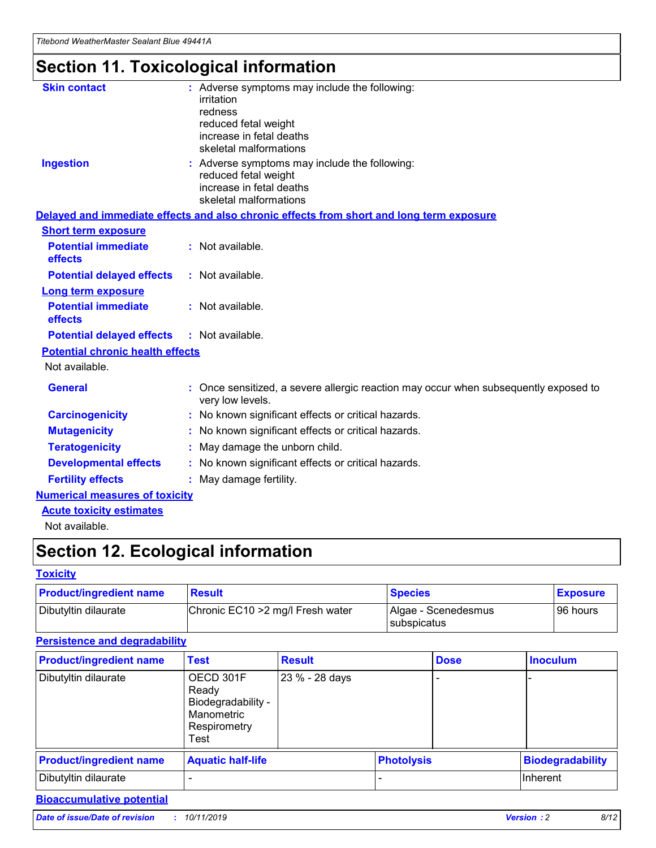## **Section 11. Toxicological information**

| <b>Skin contact</b>                     | : Adverse symptoms may include the following:<br>irritation<br>redness<br>reduced fetal weight<br>increase in fetal deaths<br>skeletal malformations |
|-----------------------------------------|------------------------------------------------------------------------------------------------------------------------------------------------------|
| <b>Ingestion</b>                        | : Adverse symptoms may include the following:<br>reduced fetal weight<br>increase in fetal deaths<br>skeletal malformations                          |
|                                         | Delayed and immediate effects and also chronic effects from short and long term exposure                                                             |
| <b>Short term exposure</b>              |                                                                                                                                                      |
| <b>Potential immediate</b><br>effects   | : Not available.                                                                                                                                     |
| <b>Potential delayed effects</b>        | : Not available.                                                                                                                                     |
| <b>Long term exposure</b>               |                                                                                                                                                      |
| <b>Potential immediate</b><br>effects   | : Not available.                                                                                                                                     |
| <b>Potential delayed effects</b>        | : Not available.                                                                                                                                     |
| <b>Potential chronic health effects</b> |                                                                                                                                                      |
| Not available.                          |                                                                                                                                                      |
| <b>General</b>                          | : Once sensitized, a severe allergic reaction may occur when subsequently exposed to<br>very low levels.                                             |
| <b>Carcinogenicity</b>                  | : No known significant effects or critical hazards.                                                                                                  |
| <b>Mutagenicity</b>                     | No known significant effects or critical hazards.                                                                                                    |
| <b>Teratogenicity</b>                   | May damage the unborn child.                                                                                                                         |
| <b>Developmental effects</b>            | No known significant effects or critical hazards.                                                                                                    |
| <b>Fertility effects</b>                | : May damage fertility.                                                                                                                              |
| <b>Numerical measures of toxicity</b>   |                                                                                                                                                      |
| <b>Acute toxicity estimates</b>         |                                                                                                                                                      |
|                                         |                                                                                                                                                      |

Not available.

## **Section 12. Ecological information**

#### **Toxicity**

| <b>Product/ingredient name</b> | <b>Result</b>                     | <b>Species</b>                       | <b>Exposure</b> |
|--------------------------------|-----------------------------------|--------------------------------------|-----------------|
| Dibutyltin dilaurate           | Chronic EC10 > 2 mg/l Fresh water | Algae - Scenedesmus<br>I subspicatus | l 96 hours i    |

### **Persistence and degradability**

| <b>Product/ingredient name</b> | <b>Test</b>                                                                    | <b>Result</b>  |  | <b>Dose</b>       | <b>Inoculum</b>         |
|--------------------------------|--------------------------------------------------------------------------------|----------------|--|-------------------|-------------------------|
| Dibutyltin dilaurate           | OECD 301F<br>Ready<br>Biodegradability -<br>Manometric<br>Respirometry<br>Test | 23 % - 28 days |  |                   |                         |
| <b>Product/ingredient name</b> | <b>Aquatic half-life</b>                                                       |                |  | <b>Photolysis</b> | <b>Biodegradability</b> |
| Dibutyltin dilaurate           |                                                                                |                |  |                   | Inherent                |

### **Bioaccumulative potential**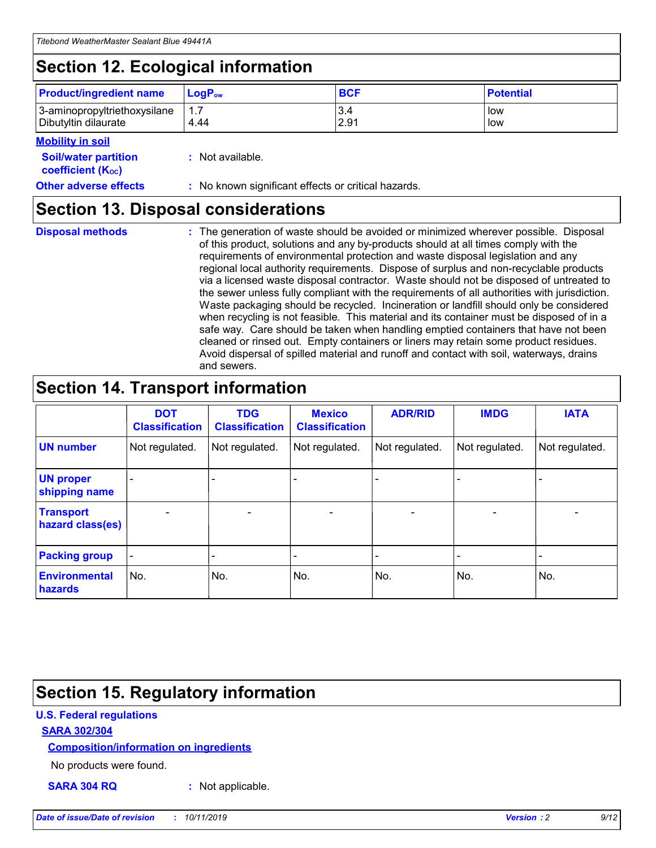## **Section 12. Ecological information**

| <b>Product/ingredient name</b> | $LoaPow$ | <b>BCF</b> | <b>Potential</b> |
|--------------------------------|----------|------------|------------------|
| 3-aminopropyltriethoxysilane   | 1.7      | 3.4        | low              |
| Dibutyltin dilaurate           | 4.44     | 2.91       | low              |

#### **Mobility in soil**

| <b>Soil/water partition</b><br>coefficient (K <sub>oc</sub> ) | : Not available.                                    |
|---------------------------------------------------------------|-----------------------------------------------------|
| <b>Other adverse effects</b>                                  | : No known significant effects or critical hazards. |

### **Section 13. Disposal considerations**

| <b>Disposal methods</b> |
|-------------------------|

**Disposal methods** : The generation of waste should be avoided or minimized wherever possible. Disposal of this product, solutions and any by-products should at all times comply with the requirements of environmental protection and waste disposal legislation and any regional local authority requirements. Dispose of surplus and non-recyclable products via a licensed waste disposal contractor. Waste should not be disposed of untreated to the sewer unless fully compliant with the requirements of all authorities with jurisdiction. Waste packaging should be recycled. Incineration or landfill should only be considered when recycling is not feasible. This material and its container must be disposed of in a safe way. Care should be taken when handling emptied containers that have not been cleaned or rinsed out. Empty containers or liners may retain some product residues. Avoid dispersal of spilled material and runoff and contact with soil, waterways, drains and sewers.

## **Section 14. Transport information**

|                                      | <b>DOT</b><br><b>Classification</b> | <b>TDG</b><br><b>Classification</b> | <b>Mexico</b><br><b>Classification</b> | <b>ADR/RID</b>               | <b>IMDG</b>    | <b>IATA</b>              |
|--------------------------------------|-------------------------------------|-------------------------------------|----------------------------------------|------------------------------|----------------|--------------------------|
| <b>UN number</b>                     | Not regulated.                      | Not regulated.                      | Not regulated.                         | Not regulated.               | Not regulated. | Not regulated.           |
| <b>UN proper</b><br>shipping name    |                                     |                                     |                                        |                              |                |                          |
| <b>Transport</b><br>hazard class(es) | $\blacksquare$                      | $\overline{\phantom{0}}$            | $\overline{\phantom{a}}$               | $\qquad \qquad \blacksquare$ | $\blacksquare$ | $\overline{\phantom{0}}$ |
| <b>Packing group</b>                 | $\overline{\phantom{a}}$            | -                                   |                                        | -                            |                | -                        |
| <b>Environmental</b><br>hazards      | No.                                 | No.                                 | No.                                    | No.                          | No.            | No.                      |

## **Section 15. Regulatory information**

#### **U.S. Federal regulations**

#### **SARA 302/304**

#### **Composition/information on ingredients**

No products were found.

**SARA 304 RQ :** Not applicable.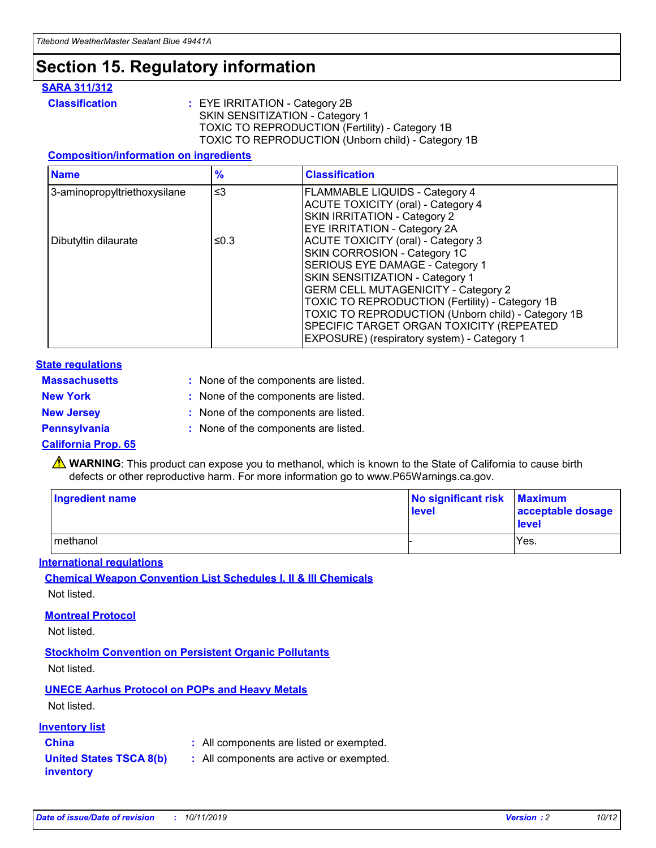## **Section 15. Regulatory information**

#### **SARA 311/312**

**Classification :** EYE IRRITATION - Category 2B SKIN SENSITIZATION - Category 1 TOXIC TO REPRODUCTION (Fertility) - Category 1B TOXIC TO REPRODUCTION (Unborn child) - Category 1B

#### **Composition/information on ingredients**

| <b>Name</b>                  | $\frac{9}{6}$ | <b>Classification</b>                                                                                            |
|------------------------------|---------------|------------------------------------------------------------------------------------------------------------------|
| 3-aminopropyltriethoxysilane | $\leq$ 3      | <b>FLAMMABLE LIQUIDS - Category 4</b><br><b>ACUTE TOXICITY (oral) - Category 4</b>                               |
|                              |               | SKIN IRRITATION - Category 2<br>EYE IRRITATION - Category 2A                                                     |
| Dibutyltin dilaurate         | ≤0.3          | ACUTE TOXICITY (oral) - Category 3<br>SKIN CORROSION - Category 1C                                               |
|                              |               | SERIOUS EYE DAMAGE - Category 1<br>SKIN SENSITIZATION - Category 1<br><b>GERM CELL MUTAGENICITY - Category 2</b> |
|                              |               | TOXIC TO REPRODUCTION (Fertility) - Category 1B<br>TOXIC TO REPRODUCTION (Unborn child) - Category 1B            |
|                              |               | SPECIFIC TARGET ORGAN TOXICITY (REPEATED<br>EXPOSURE) (respiratory system) - Category 1                          |

#### **State regulations**

| <b>Massachusetts</b> | : None of the components are listed. |
|----------------------|--------------------------------------|
| <b>New York</b>      | : None of the components are listed. |
| <b>New Jersey</b>    | : None of the components are listed. |
| Pennsylvania         | : None of the components are listed. |

#### **California Prop. 65**

**A** WARNING: This product can expose you to methanol, which is known to the State of California to cause birth defects or other reproductive harm. For more information go to www.P65Warnings.ca.gov.

| <b>Ingredient name</b> | No significant risk Maximum<br>level | acceptable dosage<br>level |
|------------------------|--------------------------------------|----------------------------|
| methanol               |                                      | Yes.                       |

#### **International regulations**

**Chemical Weapon Convention List Schedules I, II & III Chemicals** Not listed.

#### **Montreal Protocol**

Not listed.

#### **Stockholm Convention on Persistent Organic Pollutants**

Not listed.

### **UNECE Aarhus Protocol on POPs and Heavy Metals**

Not listed.

#### **Inventory list**

### **China :** All components are listed or exempted.

#### **United States TSCA 8(b) inventory :** All components are active or exempted.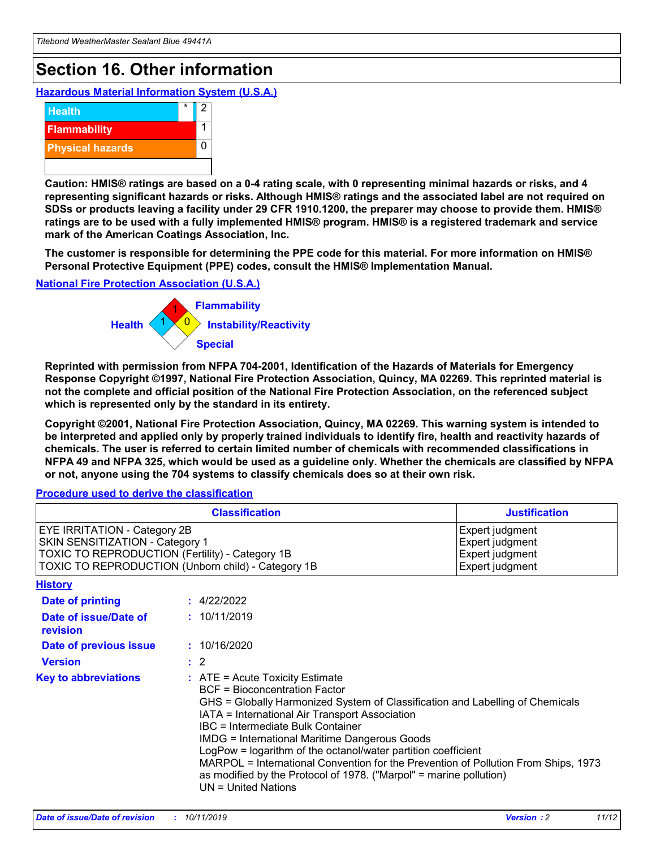## **Section 16. Other information**

**Hazardous Material Information System (U.S.A.)**



**Caution: HMIS® ratings are based on a 0-4 rating scale, with 0 representing minimal hazards or risks, and 4 representing significant hazards or risks. Although HMIS® ratings and the associated label are not required on SDSs or products leaving a facility under 29 CFR 1910.1200, the preparer may choose to provide them. HMIS® ratings are to be used with a fully implemented HMIS® program. HMIS® is a registered trademark and service mark of the American Coatings Association, Inc.**

**The customer is responsible for determining the PPE code for this material. For more information on HMIS® Personal Protective Equipment (PPE) codes, consult the HMIS® Implementation Manual.**

#### **National Fire Protection Association (U.S.A.)**



**Reprinted with permission from NFPA 704-2001, Identification of the Hazards of Materials for Emergency Response Copyright ©1997, National Fire Protection Association, Quincy, MA 02269. This reprinted material is not the complete and official position of the National Fire Protection Association, on the referenced subject which is represented only by the standard in its entirety.**

**Copyright ©2001, National Fire Protection Association, Quincy, MA 02269. This warning system is intended to be interpreted and applied only by properly trained individuals to identify fire, health and reactivity hazards of chemicals. The user is referred to certain limited number of chemicals with recommended classifications in NFPA 49 and NFPA 325, which would be used as a guideline only. Whether the chemicals are classified by NFPA or not, anyone using the 704 systems to classify chemicals does so at their own risk.**

**Procedure used to derive the classification**

|                                                                                                                    | <b>Classification</b>                                                                                                                            | <b>Justification</b>                                                                                                                                                                                                                                                                                                                                                                                                 |  |
|--------------------------------------------------------------------------------------------------------------------|--------------------------------------------------------------------------------------------------------------------------------------------------|----------------------------------------------------------------------------------------------------------------------------------------------------------------------------------------------------------------------------------------------------------------------------------------------------------------------------------------------------------------------------------------------------------------------|--|
| EYE IRRITATION - Category 2B<br>SKIN SENSITIZATION - Category 1<br>TOXIC TO REPRODUCTION (Fertility) - Category 1B | TOXIC TO REPRODUCTION (Unborn child) - Category 1B                                                                                               | Expert judgment<br>Expert judgment<br>Expert judgment<br>Expert judgment                                                                                                                                                                                                                                                                                                                                             |  |
| <b>History</b>                                                                                                     |                                                                                                                                                  |                                                                                                                                                                                                                                                                                                                                                                                                                      |  |
| Date of printing                                                                                                   | : 4/22/2022                                                                                                                                      |                                                                                                                                                                                                                                                                                                                                                                                                                      |  |
| Date of issue/Date of<br>revision                                                                                  | : 10/11/2019                                                                                                                                     |                                                                                                                                                                                                                                                                                                                                                                                                                      |  |
| Date of previous issue                                                                                             | : 10/16/2020                                                                                                                                     |                                                                                                                                                                                                                                                                                                                                                                                                                      |  |
| <b>Version</b>                                                                                                     | $\therefore$ 2                                                                                                                                   |                                                                                                                                                                                                                                                                                                                                                                                                                      |  |
| <b>Key to abbreviations</b>                                                                                        | $\therefore$ ATE = Acute Toxicity Estimate<br><b>BCF</b> = Bioconcentration Factor<br>IBC = Intermediate Bulk Container<br>$UN = United Nations$ | GHS = Globally Harmonized System of Classification and Labelling of Chemicals<br>IATA = International Air Transport Association<br><b>IMDG = International Maritime Dangerous Goods</b><br>LogPow = logarithm of the octanol/water partition coefficient<br>MARPOL = International Convention for the Prevention of Pollution From Ships, 1973<br>as modified by the Protocol of 1978. ("Marpol" = marine pollution) |  |